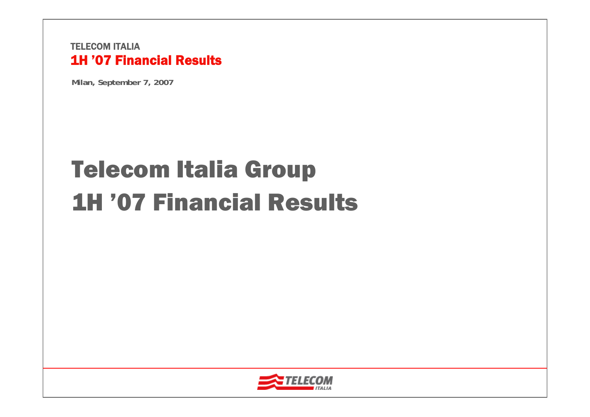**Milan, September 7, 2007**

# Telecom Italia Group 1H '07 Financial Results

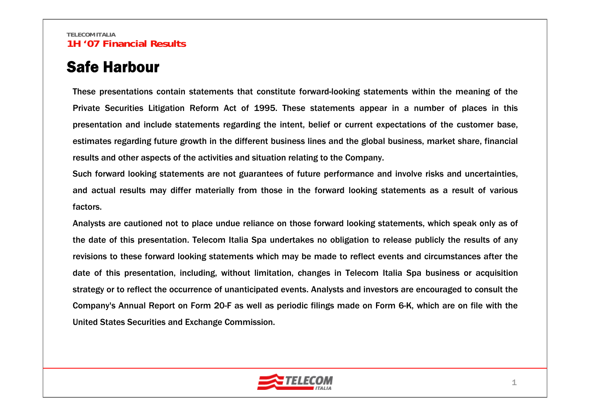### Safe Harbour

These presentations contain statements that constitute forward-looking statements within the meaning of the Private Securities Litigation Reform Act of 1995. These statements appear in a number of places in this presentation and include statements regarding the intent, belief or current expectations of the customer base, estimates regarding future growth in the different business lines and the global business, market share, financial results and other aspects of the activities and situation relating to the Company.

Such forward looking statements are not guarantees of future performance and involve risks and uncertainties, and actual results may differ materially from those in the forward looking statements as a result of various factors.

Analysts are cautioned not to place undue reliance on those forward looking statements, which speak only as of the date of this presentation. Telecom Italia Spa undertakes no obligation to release publicly the results of any revisions to these forward looking statements which may be made to reflect events and circumstances after the date of this presentation, including, without limitation, changes in Telecom Italia Spa business or acquisition strategy or to reflect the occurrence of unanticipated events. Analysts and investors are encouraged to consult the Company's Annual Report on Form 20-F as well as periodic filings made on Form 6-K, which are on file with the United States Securities and Exchange Commission.

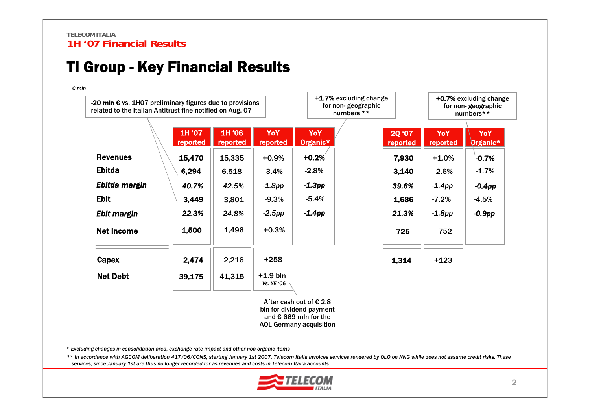### TI Group - Key Financial Results

*€ mln*

| -20 mln $\epsilon$ vs. 1H07 preliminary figures due to provisions<br>related to the Italian Antitrust fine notified on Aug. 07 |                    |                    |                          | +1.7% excluding change<br>for non-geographic<br>numbers **                                                                       |                    |                 | +0.7% excluding change<br>for non-geographic<br>numbers** |
|--------------------------------------------------------------------------------------------------------------------------------|--------------------|--------------------|--------------------------|----------------------------------------------------------------------------------------------------------------------------------|--------------------|-----------------|-----------------------------------------------------------|
|                                                                                                                                | 1H '07<br>reported | 1H '06<br>reported | YoY<br>reported          | YoY<br>Organic*                                                                                                                  | 2Q '07<br>reported | YoY<br>reported | YoY<br>Organic*                                           |
| <b>Revenues</b>                                                                                                                | 15,470             | 15,335             | $+0.9%$                  | $+0.2%$                                                                                                                          | 7,930              | $+1.0%$         | $-0.7%$                                                   |
| <b>Ebitda</b>                                                                                                                  | 6,294              | 6,518              | $-3.4%$                  | $-2.8%$                                                                                                                          | 3,140              | $-2.6%$         | $-1.7%$                                                   |
| Ebitda margin                                                                                                                  | 40.7%              | 42.5%              | $-1.8$ pp                | $-1.3$ pp                                                                                                                        | 39.6%              | $-1.4$ pp       | $-0.4$ pp                                                 |
| <b>Ebit</b>                                                                                                                    | 3,449              | 3,801              | $-9.3%$                  | $-5.4%$                                                                                                                          | 1,686              | $-7.2%$         | $-4.5%$                                                   |
| Ebit margin                                                                                                                    | 22.3%              | 24.8%              | $-2.5pp$                 | $-1.4$ pp                                                                                                                        | 21.3%              | $-1.8$ pp       | $-0.9$ pp                                                 |
| <b>Net Income</b>                                                                                                              | 1,500              | 1,496              | $+0.3%$                  |                                                                                                                                  | 725                | 752             |                                                           |
| Capex                                                                                                                          | 2,474              | 2,216              | $+258$                   |                                                                                                                                  | 1,314              | $+123$          |                                                           |
| <b>Net Debt</b>                                                                                                                | 39,175             | 41,315             | $+1.9$ bln<br>Vs. YE '06 |                                                                                                                                  |                    |                 |                                                           |
|                                                                                                                                |                    |                    |                          | After cash out of $\epsilon$ 2.8<br>bln for dividend payment<br>and $\epsilon$ 669 mln for the<br><b>AOL Germany acquisition</b> |                    |                 |                                                           |

*\* Excluding changes in consolidation area, exchange rate impact and other non organic items*

*\*\* In accordance with AGCOM deliberation 417/06/CONS, starting January 1st 2007, Telecom Italia invoices services rendered by OLO on NNG while does not assume credit risks. These services, since January 1st are thus no longer recorded for as revenues and costs in Telecom Italia accounts*

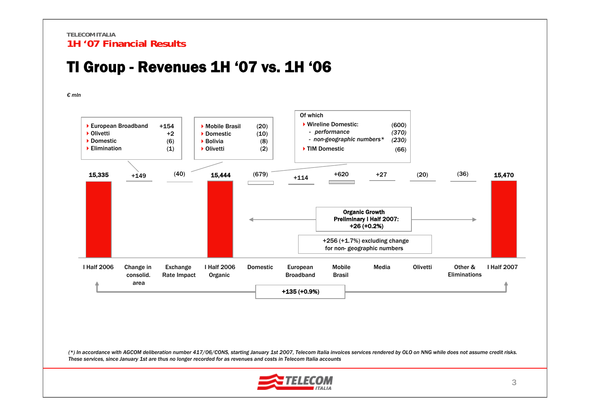### TI Group - Revenues 1H '07 vs. 1H '06



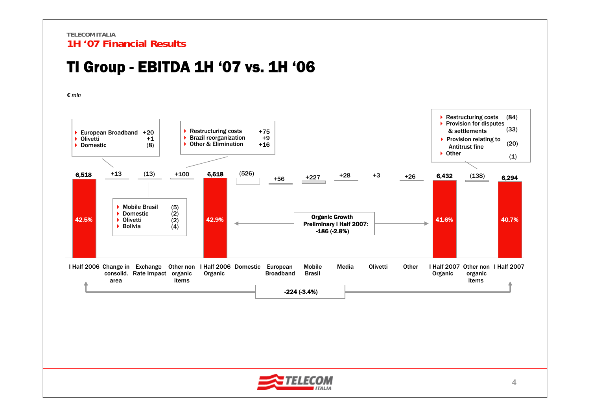### TI Group - EBITDA 1H '07 vs. 1H '06

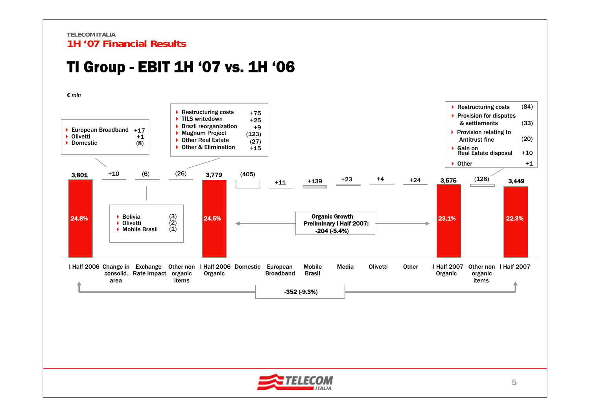### TI Group - EBIT 1H '07 vs. 1H '06



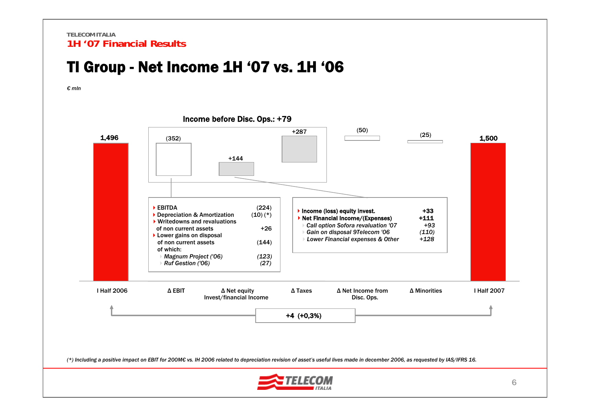### TI Group - Net Income 1H '07 vs. 1H '06

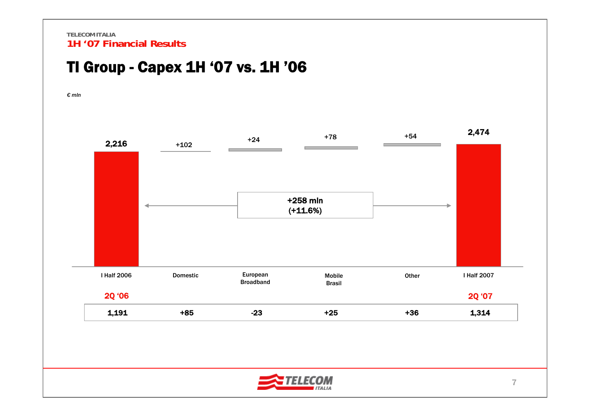### TI Group - Capex 1H '07 vs. 1H '06



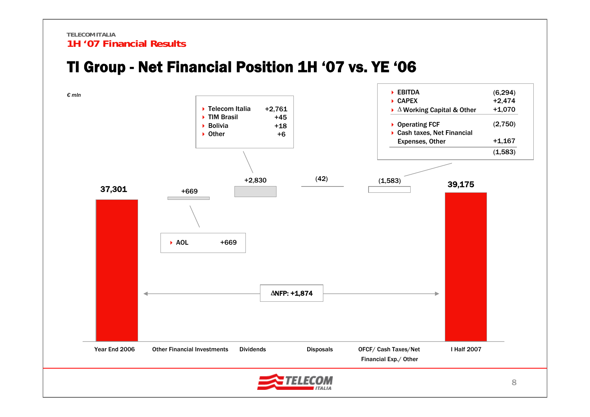### TI Group - Net Financial Position 1H '07 vs. YE '06

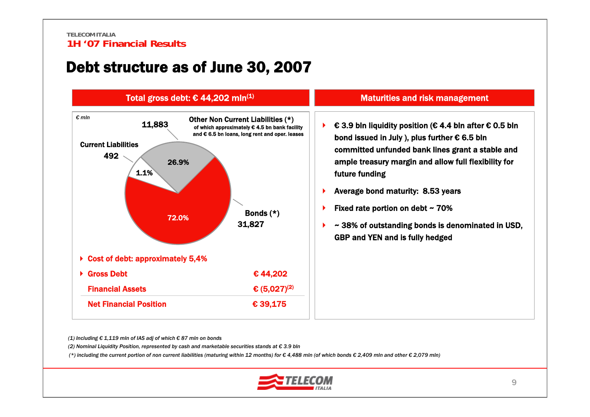### Debt structure as of June 30, 2007



*(1) Including € 1,119 mln of IAS adj of which € 87 mln on bonds*

*(2) Nominal Liquidity Position, represented by cash and marketable securities stands at € 3.9 bln*

(\*) including the current portion of non current liabilities (maturing within 12 months) for  $\epsilon$  4,488 mln (of which bonds  $\epsilon$  2,409 mln and other  $\epsilon$  2,079 mln)

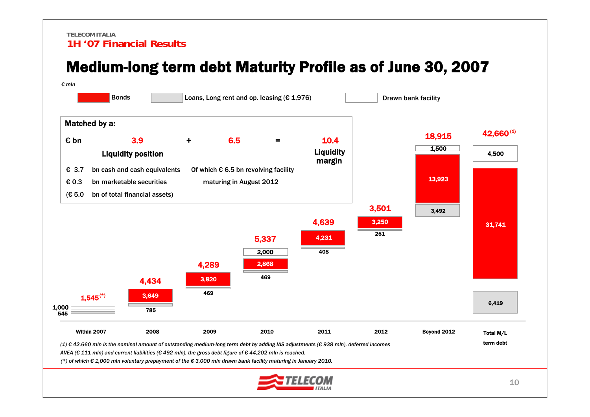### Medium-long term debt Maturity Profile as of June 30, 2007

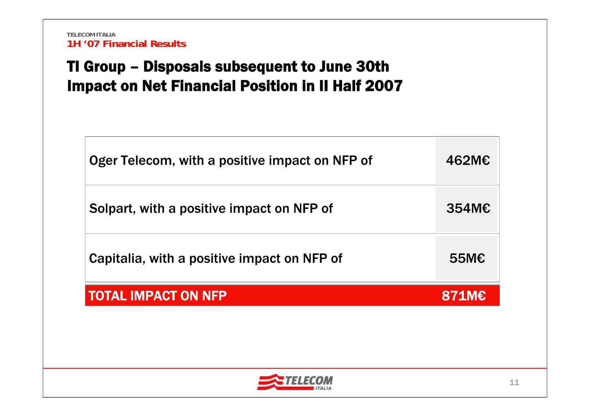## TI Group – Disposals subsequent to June 30th Impact on Net Financial Position in II Half 2007

| Oger Telecom, with a positive impact on NFP of | 462M€          |
|------------------------------------------------|----------------|
| Solpart, with a positive impact on NFP of      | $354M\epsilon$ |
| Capitalia, with a positive impact on NFP of    | 55 $M\epsilon$ |
| <b>TOTAL IMPACT ON NFP</b>                     | <b>871M€</b>   |
|                                                |                |

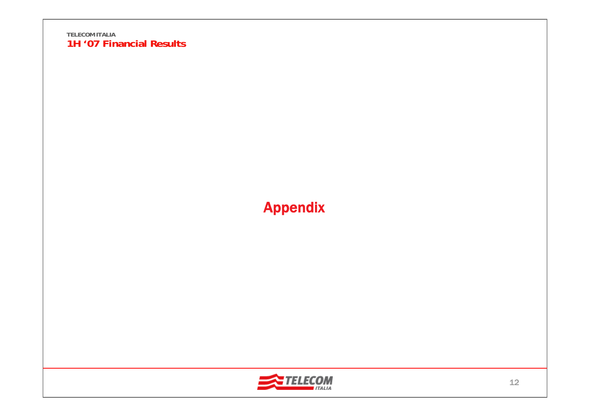

## Appendix

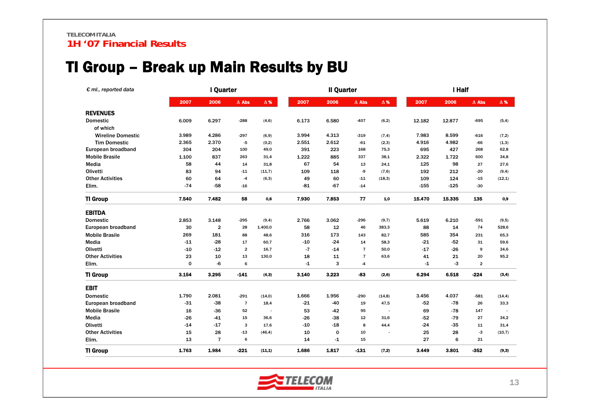### TI Group – Break up Main Results by BU

| $\epsilon$ ml., reported data |       | I Quarter      |                |            |       | <b>Il Quarter</b> |                |            |        | I Half |                |            |  |  |
|-------------------------------|-------|----------------|----------------|------------|-------|-------------------|----------------|------------|--------|--------|----------------|------------|--|--|
|                               | 2007  | 2006           | $\Delta$ Abs   | $\Delta$ % | 2007  | 2006              | $\Delta$ Abs   | $\Delta$ % | 2007   | 2006   | $\Delta$ Abs   | $\Delta$ % |  |  |
| <b>REVENUES</b>               |       |                |                |            |       |                   |                |            |        |        |                |            |  |  |
| <b>Domestic</b>               | 6.009 | 6.297          | $-288$         | (4, 6)     | 6.173 | 6.580             | -407           | (6,2)      | 12.182 | 12.877 | -695           | (5,4)      |  |  |
| of which                      |       |                |                |            |       |                   |                |            |        |        |                |            |  |  |
| <b>Wireline Domestic</b>      | 3.989 | 4.286          | $-297$         | (6, 9)     | 3.994 | 4.313             | $-319$         | (7, 4)     | 7.983  | 8.599  | $-616$         | (7,2)      |  |  |
| <b>Tim Domestic</b>           | 2.365 | 2.370          | $-5$           | (0,2)      | 2.551 | 2.612             | $-61$          | (2,3)      | 4.916  | 4.982  | -66            | (1,3)      |  |  |
| European broadband            | 304   | 204            | 100            | 49,0       | 391   | 223               | 168            | 75,3       | 695    | 427    | 268            | 62,8       |  |  |
| <b>Mobile Brasile</b>         | 1.100 | 837            | 263            | 31,4       | 1.222 | 885               | 337            | 38,1       | 2.322  | 1.722  | 600            | 34,8       |  |  |
| Media                         | 58    | 44             | 14             | 31,8       | 67    | 54                | 13             | 24,1       | 125    | 98     | 27             | 27,6       |  |  |
| Olivetti                      | 83    | 94             | $-11$          | (11,7)     | 109   | 118               | -9             | (7, 6)     | 192    | 212    | $-20$          | (9, 4)     |  |  |
| <b>Other Activities</b>       | 60    | 64             | $-4$           | (6, 3)     | 49    | 60                | $-11$          | (18,3)     | 109    | 124    | $-15$          | (12,1)     |  |  |
| Elim.                         | $-74$ | $-58$          | $-16$          |            | $-81$ | $-67$             | $-14$          |            | -155   | $-125$ | $-30$          |            |  |  |
| <b>TI Group</b>               | 7.540 | 7.482          | 58             | 0,8        | 7.930 | 7.853             | 77             | 1,0        | 15.470 | 15.335 | 135            | 0,9        |  |  |
| <b>EBITDA</b>                 |       |                |                |            |       |                   |                |            |        |        |                |            |  |  |
| <b>Domestic</b>               | 2.853 | 3.148          | $-295$         | (9, 4)     | 2.766 | 3.062             | -296           | (9,7)      | 5.619  | 6.210  | $-591$         | (9,5)      |  |  |
| European broadband            | 30    | 2              | 28             | 1.400,0    | 58    | 12                | 46             | 383,3      | 88     | 14     | 74             | 528,6      |  |  |
| <b>Mobile Brasile</b>         | 269   | 181            | 88             | 48,6       | 316   | 173               | 143            | 82,7       | 585    | 354    | 231            | 65,3       |  |  |
| Media                         | $-11$ | $-28$          | 17             | 60,7       | $-10$ | $-24$             | 14             | 58,3       | $-21$  | $-52$  | 31             | 59,6       |  |  |
| Olivetti                      | -10   | $-12$          | $\overline{2}$ | 16,7       | $-7$  | -14               | $\overline{7}$ | 50,0       | $-17$  | $-26$  | 9              | 34,6       |  |  |
| <b>Other Activities</b>       | 23    | 10             | 13             | 130,0      | 18    | 11                | $\overline{7}$ | 63,6       | 41     | 21     | 20             | 95,2       |  |  |
| Elim.                         | 0     | -6             | 6              |            | $-1$  | 3                 | $-4$           |            | $-1$   | $-3$   | $\overline{2}$ |            |  |  |
| <b>TI Group</b>               | 3.154 | 3.295          | $-141$         | (4, 3)     | 3.140 | 3.223             | -83            | (2, 6)     | 6.294  | 6.518  | $-224$         | (3,4)      |  |  |
| <b>EBIT</b>                   |       |                |                |            |       |                   |                |            |        |        |                |            |  |  |
| <b>Domestic</b>               | 1.790 | 2.081          | $-291$         | (14,0)     | 1.666 | 1.956             | -290           | (14, 8)    | 3.456  | 4.037  | $-581$         | (14, 4)    |  |  |
| European broadband            | $-31$ | $-38$          | $\overline{7}$ | 18,4       | $-21$ | -40               | 19             | 47,5       | $-52$  | $-78$  | 26             | 33,3       |  |  |
| <b>Mobile Brasile</b>         | 16    | $-36$          | 52             |            | 53    | $-42$             | 95             |            | 69     | $-78$  | 147            |            |  |  |
| Media                         | -26   | $-41$          | 15             | 36,6       | $-26$ | -38               | 12             | 31,6       | -52    | $-79$  | 27             | 34,2       |  |  |
| Olivetti                      | $-14$ | $-17$          | 3              | 17,6       | $-10$ | $-18$             | 8              | 44,4       | -24    | $-35$  | 11             | 31,4       |  |  |
| <b>Other Activities</b>       | 15    | 28             | $-13$          | (46, 4)    | 10    | $\mathbf 0$       | 10             |            | 25     | 28     | $-3$           | (10,7)     |  |  |
| Elim.                         | 13    | $\overline{7}$ | 6              |            | 14    | $-1$              | 15             |            | 27     | 6      | 21             |            |  |  |
| <b>TI Group</b>               | 1.763 | 1.984          | $-221$         | (11, 1)    | 1.686 | 1.817             | $-131$         | (7,2)      | 3.449  | 3.801  | $-352$         | (9,3)      |  |  |

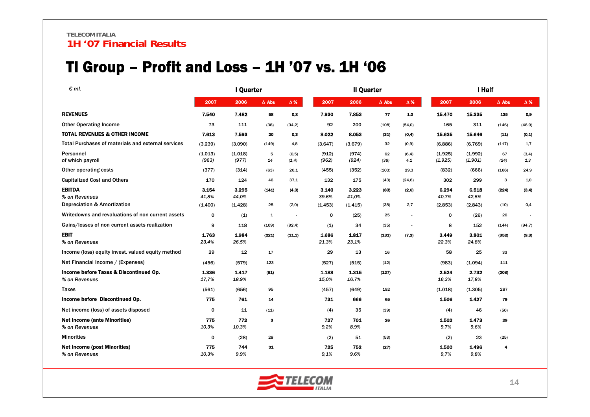### TI Group – Profit and Loss – 1H '07 vs. 1H '06

| $\epsilon$ ml.                                                | I Quarter                 |                           |              |                          |                           | <b>Il Quarter</b>         |              |               |                           | I Half                    |               |              |  |
|---------------------------------------------------------------|---------------------------|---------------------------|--------------|--------------------------|---------------------------|---------------------------|--------------|---------------|---------------------------|---------------------------|---------------|--------------|--|
|                                                               | 2007                      | 2006                      | $\Delta$ Abs | $\Delta$ %               | 2007                      | 2006                      | $\Delta$ Abs | $\Delta$ %    | 2007                      | 2006                      | $\Delta$ Abs  | $\Delta$ %   |  |
| <b>REVENUES</b>                                               | 7.540                     | 7.482                     | 58           | 0,8                      | 7.930                     | 7.853                     | 77           | 1.0           | 15.470                    | 15.335                    | 135           | 0,9          |  |
| <b>Other Operating Income</b>                                 | 73                        | 111                       | (38)         | (34,2)                   | 92                        | 200                       | (108)        | (54, 0)       | 165                       | 311                       | (146)         | (46, 9)      |  |
| <b>TOTAL REVENUES &amp; OTHER INCOME</b>                      | 7.613                     | 7.593                     | 20           | 0,3                      | 8.022                     | 8.053                     | (31)         | (0,4)         | 15.635                    | 15.646                    | (11)          | (0,1)        |  |
| Total Purchases of materials and external services            | (3.239)                   | (3.090)                   | (149)        | 4,8                      | (3.647)                   | (3.679)                   | 32           | (0, 9)        | (6.886)                   | (6.769)                   | (117)         | 1,7          |  |
| Personnel<br>of which payroll                                 | (1.013)<br>(963)          | (1.018)<br>(977)          | 5<br>14      | (0,5)<br>(1, 4)          | (912)<br>(962)            | (974)<br>(924)            | 62<br>(38)   | (6, 4)<br>4,1 | (1.925)<br>(1.925)        | (1.992)<br>(1.901)        | 67<br>(24)    | (3,4)<br>1.3 |  |
| Other operating costs                                         | (377)                     | (314)                     | (63)         | 20,1                     | (455)                     | (352)                     | (103)        | 29,3          | (832)                     | (666)                     | (166)         | 24,9         |  |
| <b>Capitalized Cost and Others</b>                            | 170                       | 124                       | 46           | 37,1                     | 132                       | 175                       | (43)         | (24, 6)       | 302                       | 299                       | 3             | 1,0          |  |
| <b>EBITDA</b><br>% on Revenues<br>Depreciation & Amortization | 3.154<br>41,8%<br>(1.400) | 3.295<br>44.0%<br>(1.428) | (141)<br>28  | (4,3)<br>(2,0)           | 3.140<br>39.6%<br>(1.453) | 3.223<br>41.0%<br>(1.415) | (83)<br>(38) | (2,6)<br>2,7  | 6.294<br>40.7%<br>(2.853) | 6.518<br>42,5%<br>(2.843) | (224)<br>(10) | (3,4)<br>0,4 |  |
| Writedowns and revaluations of non current assets             | 0                         | (1)                       | 1            | $\overline{\phantom{a}}$ | 0                         | (25)                      | 25           | ×,            | 0                         | (26)                      | 26            |              |  |
| Gains/losses of non current assets realization                | 9                         | 118                       | (109)        | (92, 4)                  | (1)                       | 34                        | (35)         | $\sim$        | 8                         | 152                       | (144)         | (94,7)       |  |
| <b>EBIT</b><br>% on Revenues                                  | 1.763<br>23,4%            | 1.984<br>26,5%            | (221)        | (11,1)                   | 1.686<br>21,3%            | 1.817<br>23,1%            | (131)        | (7,2)         | 3.449<br>22,3%            | 3.801<br>24,8%            | (352)         | (9,3)        |  |
| Income (loss) equity invest. valued equity method             | 29                        | 12                        | 17           |                          | 29                        | 13                        | 16           |               | 58                        | 25                        | 33            |              |  |
| Net Financial Income / (Expenses)                             | (456)                     | (579)                     | 123          |                          | (527)                     | (515)                     | (12)         |               | (983)                     | (1.094)                   | 111           |              |  |
| Income before Taxes & Discontinued Op.<br>% on Revenues       | 1.336<br>17,7%            | 1.417<br>18,9%            | (81)         |                          | 1.188<br>15,0%            | 1.315<br>16,7%            | (127)        |               | 2.524<br>16,3%            | 2.732<br>17,8%            | (208)         |              |  |
| <b>Taxes</b>                                                  | (561)                     | (656)                     | 95           |                          | (457)                     | (649)                     | 192          |               | (1.018)                   | (1.305)                   | 287           |              |  |
| Income before Discontinued Op.                                | 775                       | 761                       | 14           |                          | 731                       | 666                       | 65           |               | 1.506                     | 1.427                     | 79            |              |  |
| Net income (loss) of assets disposed                          | $\mathbf 0$               | 11                        | (11)         |                          | (4)                       | 35                        | (39)         |               | (4)                       | 46                        | (50)          |              |  |
| <b>Net Income (ante Minorities)</b><br>% on Revenues          | 775<br>10.3%              | 772<br>10.3%              | з            |                          | 727<br>9.2%               | 701<br>8,9%               | 26           |               | 1.502<br>9,7%             | 1.473<br>9.6%             | 29            |              |  |
| <b>Minorities</b>                                             | $\Omega$                  | (28)                      | 28           |                          | (2)                       | 51                        | (53)         |               | (2)                       | 23                        | (25)          |              |  |
| <b>Net Income (post Minorities)</b><br>% on Revenues          | 775<br>10.3%              | 744<br>9.9%               | 31           |                          | 725<br>9.1%               | 752<br>9.6%               | (27)         |               | 1.500<br>9.7%             | 1.496<br>9.8%             | 4             |              |  |